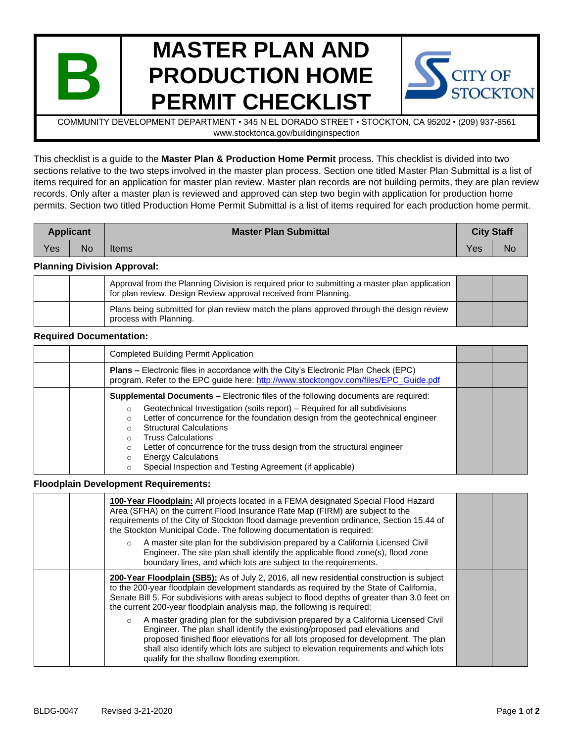

# **MASTER PLAN AND PRODUCTION HOME PERMIT CHECKLIST**



COMMUNITY DEVELOPMENT DEPARTMENT • 345 N EL DORADO STREET • STOCKTON, CA 95202 • (209) 937-8561 www.stocktonca.gov/buildinginspection

This checklist is a guide to the **Master Plan & Production Home Permit** process. This checklist is divided into two sections relative to the two steps involved in the master plan process. Section one titled Master Plan Submittal is a list of items required for an application for master plan review. Master plan records are not building permits, they are plan review records. Only after a master plan is reviewed and approved can step two begin with application for production home permits. Section two titled Production Home Permit Submittal is a list of items required for each production home permit.

| <b>Applicant</b> |           | <b>Master Plan Submittal</b> | <b>City Staff</b> |           |
|------------------|-----------|------------------------------|-------------------|-----------|
| Yes              | <b>No</b> | Items                        | <b>Yes</b>        | <b>No</b> |

### **Planning Division Approval:**

|  | Approval from the Planning Division is required prior to submitting a master plan application<br>for plan review. Design Review approval received from Planning. |  |
|--|------------------------------------------------------------------------------------------------------------------------------------------------------------------|--|
|  | Plans being submitted for plan review match the plans approved through the design review<br>process with Planning.                                               |  |

### **Required Documentation:**

| <b>Completed Building Permit Application</b>                                                                                                                                                                                                                                                                                                                                                                                             |  |
|------------------------------------------------------------------------------------------------------------------------------------------------------------------------------------------------------------------------------------------------------------------------------------------------------------------------------------------------------------------------------------------------------------------------------------------|--|
| <b>Plans –</b> Electronic files in accordance with the City's Electronic Plan Check (EPC)<br>program. Refer to the EPC guide here: http://www.stocktongov.com/files/EPC Guide.pdf                                                                                                                                                                                                                                                        |  |
| <b>Supplemental Documents – Electronic files of the following documents are required:</b><br>Geotechnical Investigation (soils report) - Required for all subdivisions<br>$\circ$<br>Letter of concurrence for the foundation design from the geotechnical engineer<br>Ω<br><b>Structural Calculations</b><br>C<br><b>Truss Calculations</b><br>O<br>Letter of concurrence for the truss design from the structural engineer<br>$\Omega$ |  |
| <b>Energy Calculations</b><br>Ω<br>Special Inspection and Testing Agreement (if applicable)<br>O                                                                                                                                                                                                                                                                                                                                         |  |

#### **Floodplain Development Requirements:**

| 100-Year Floodplain: All projects located in a FEMA designated Special Flood Hazard<br>Area (SFHA) on the current Flood Insurance Rate Map (FIRM) are subject to the<br>requirements of the City of Stockton flood damage prevention ordinance, Section 15.44 of<br>the Stockton Municipal Code. The following documentation is required:<br>A master site plan for the subdivision prepared by a California Licensed Civil<br>$\circ$<br>Engineer. The site plan shall identify the applicable flood zone(s), flood zone<br>boundary lines, and which lots are subject to the requirements. |  |
|----------------------------------------------------------------------------------------------------------------------------------------------------------------------------------------------------------------------------------------------------------------------------------------------------------------------------------------------------------------------------------------------------------------------------------------------------------------------------------------------------------------------------------------------------------------------------------------------|--|
| 200-Year Floodplain (SB5): As of July 2, 2016, all new residential construction is subject<br>to the 200-year floodplain development standards as required by the State of California,<br>Senate Bill 5. For subdivisions with areas subject to flood depths of greater than 3.0 feet on<br>the current 200-year floodplain analysis map, the following is required:                                                                                                                                                                                                                         |  |
| A master grading plan for the subdivision prepared by a California Licensed Civil<br>$\circ$<br>Engineer. The plan shall identify the existing/proposed pad elevations and<br>proposed finished floor elevations for all lots proposed for development. The plan<br>shall also identify which lots are subject to elevation requirements and which lots<br>qualify for the shallow flooding exemption.                                                                                                                                                                                       |  |